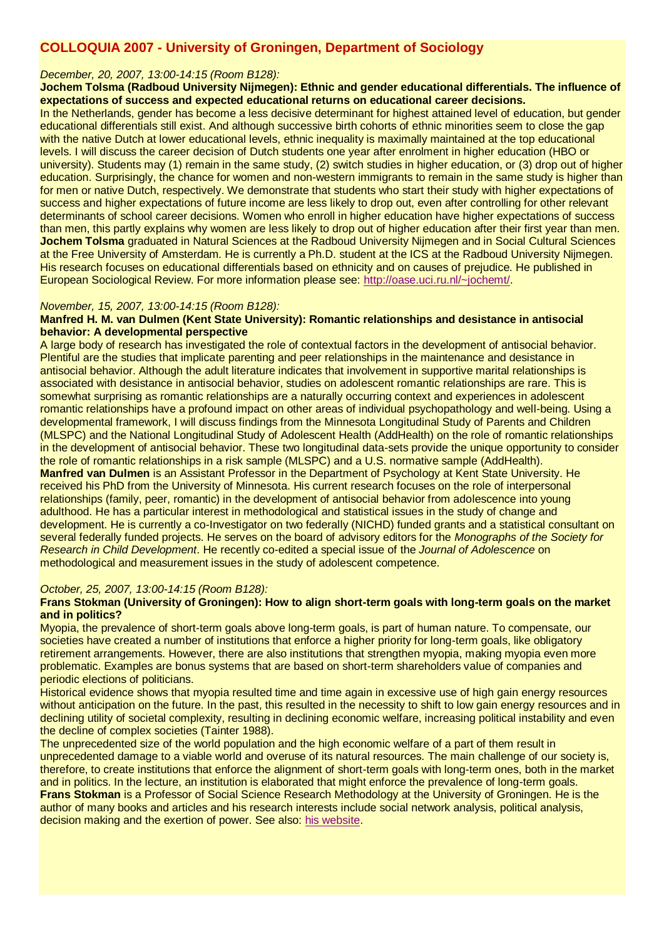# **COLLOQUIA 2007 - University of Groningen, Department of Sociology**

#### *December, 20, 2007, 13:00-14:15 (Room B128):*

**Jochem Tolsma (Radboud University Nijmegen): Ethnic and gender educational differentials. The influence of expectations of success and expected educational returns on educational career decisions.**

In the Netherlands, gender has become a less decisive determinant for highest attained level of education, but gender educational differentials still exist. And although successive birth cohorts of ethnic minorities seem to close the gap with the native Dutch at lower educational levels, ethnic inequality is maximally maintained at the top educational levels. I will discuss the career decision of Dutch students one year after enrolment in higher education (HBO or university). Students may (1) remain in the same study, (2) switch studies in higher education, or (3) drop out of higher education. Surprisingly, the chance for women and non-western immigrants to remain in the same study is higher than for men or native Dutch, respectively. We demonstrate that students who start their study with higher expectations of success and higher expectations of future income are less likely to drop out, even after controlling for other relevant determinants of school career decisions. Women who enroll in higher education have higher expectations of success than men, this partly explains why women are less likely to drop out of higher education after their first year than men. **Jochem Tolsma** graduated in Natural Sciences at the Radboud University Nijmegen and in Social Cultural Sciences at the Free University of Amsterdam. He is currently a Ph.D. student at the ICS at the Radboud University Nijmegen. His research focuses on educational differentials based on ethnicity and on causes of prejudice. He published in European Sociological Review. For more information please see: [http://oase.uci.ru.nl/~jochemt/.](http://oase.uci.ru.nl/~jochemt/)

#### *November, 15, 2007, 13:00-14:15 (Room B128):*

#### **Manfred H. M. van Dulmen (Kent State University): Romantic relationships and desistance in antisocial behavior: A developmental perspective**

A large body of research has investigated the role of contextual factors in the development of antisocial behavior. Plentiful are the studies that implicate parenting and peer relationships in the maintenance and desistance in antisocial behavior. Although the adult literature indicates that involvement in supportive marital relationships is associated with desistance in antisocial behavior, studies on adolescent romantic relationships are rare. This is somewhat surprising as romantic relationships are a naturally occurring context and experiences in adolescent romantic relationships have a profound impact on other areas of individual psychopathology and well-being. Using a developmental framework, I will discuss findings from the Minnesota Longitudinal Study of Parents and Children (MLSPC) and the National Longitudinal Study of Adolescent Health (AddHealth) on the role of romantic relationships in the development of antisocial behavior. These two longitudinal data-sets provide the unique opportunity to consider the role of romantic relationships in a risk sample (MLSPC) and a U.S. normative sample (AddHealth). **Manfred van Dulmen** is an Assistant Professor in the Department of Psychology at Kent State University. He received his PhD from the University of Minnesota. His current research focuses on the role of interpersonal relationships (family, peer, romantic) in the development of antisocial behavior from adolescence into young adulthood. He has a particular interest in methodological and statistical issues in the study of change and development. He is currently a co-Investigator on two federally (NICHD) funded grants and a statistical consultant on several federally funded projects. He serves on the board of advisory editors for the *Monographs of the Society for Research in Child Development*. He recently co-edited a special issue of the *Journal of Adolescence* on methodological and measurement issues in the study of adolescent competence.

#### *October, 25, 2007, 13:00-14:15 (Room B128):*

#### **Frans Stokman (University of Groningen): How to align short-term goals with long-term goals on the market and in politics?**

Myopia, the prevalence of short-term goals above long-term goals, is part of human nature. To compensate, our societies have created a number of institutions that enforce a higher priority for long-term goals, like obligatory retirement arrangements. However, there are also institutions that strengthen myopia, making myopia even more problematic. Examples are bonus systems that are based on short-term shareholders value of companies and periodic elections of politicians.

Historical evidence shows that myopia resulted time and time again in excessive use of high gain energy resources without anticipation on the future. In the past, this resulted in the necessity to shift to low gain energy resources and in declining utility of societal complexity, resulting in declining economic welfare, increasing political instability and even the decline of complex societies (Tainter 1988).

The unprecedented size of the world population and the high economic welfare of a part of them result in unprecedented damage to a viable world and overuse of its natural resources. The main challenge of our society is, therefore, to create institutions that enforce the alignment of short-term goals with long-term ones, both in the market and in politics. In the lecture, an institution is elaborated that might enforce the prevalence of long-term goals. **Frans Stokman** is a Professor of Social Science Research Methodology at the University of Groningen. He is the author of many books and articles and his research interests include social network analysis, political analysis, decision making and the exertion of power. See also: [his website.](http://www.stokman.org/)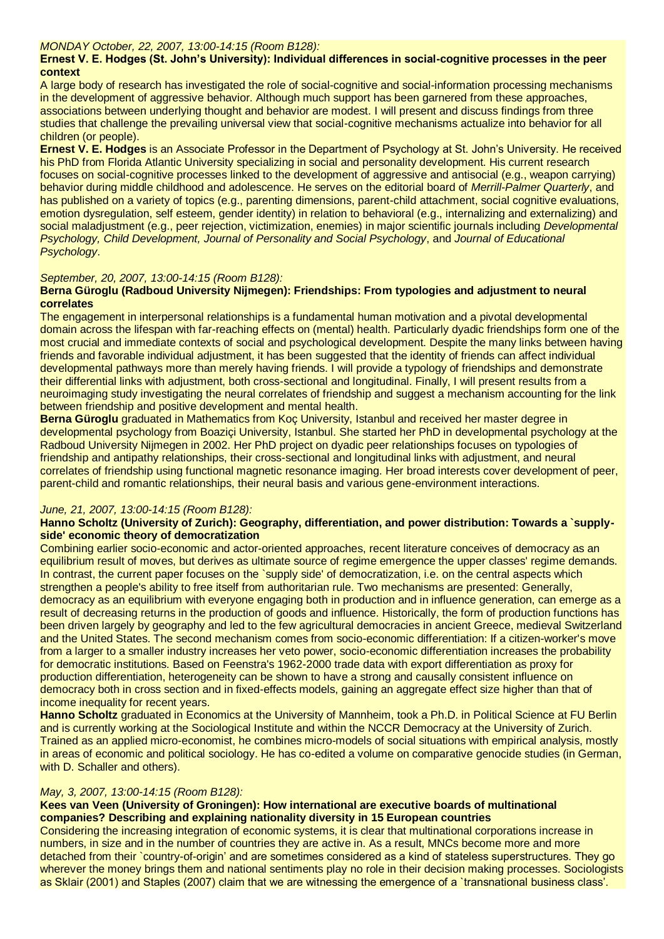### *MONDAY October, 22, 2007, 13:00-14:15 (Room B128):*

### **Ernest V. E. Hodges (St. John's University): Individual differences in social-cognitive processes in the peer context**

A large body of research has investigated the role of social-cognitive and social-information processing mechanisms in the development of aggressive behavior. Although much support has been garnered from these approaches, associations between underlying thought and behavior are modest. I will present and discuss findings from three studies that challenge the prevailing universal view that social-cognitive mechanisms actualize into behavior for all children (or people).

**Ernest V. E. Hodges** is an Associate Professor in the Department of Psychology at St. John's University. He received his PhD from Florida Atlantic University specializing in social and personality development. His current research focuses on social-cognitive processes linked to the development of aggressive and antisocial (e.g., weapon carrying) behavior during middle childhood and adolescence. He serves on the editorial board of *Merrill-Palmer Quarterly*, and has published on a variety of topics (e.g., parenting dimensions, parent-child attachment, social cognitive evaluations, emotion dysregulation, self esteem, gender identity) in relation to behavioral (e.g., internalizing and externalizing) and social maladjustment (e.g., peer rejection, victimization, enemies) in major scientific journals including *Developmental Psychology, Child Development, Journal of Personality and Social Psychology*, and *Journal of Educational Psychology*.

# *September, 20, 2007, 13:00-14:15 (Room B128):*

### **Berna Güroglu (Radboud University Nijmegen): Friendships: From typologies and adjustment to neural correlates**

The engagement in interpersonal relationships is a fundamental human motivation and a pivotal developmental domain across the lifespan with far-reaching effects on (mental) health. Particularly dyadic friendships form one of the most crucial and immediate contexts of social and psychological development. Despite the many links between having friends and favorable individual adjustment, it has been suggested that the identity of friends can affect individual developmental pathways more than merely having friends. I will provide a typology of friendships and demonstrate their differential links with adjustment, both cross-sectional and longitudinal. Finally, I will present results from a neuroimaging study investigating the neural correlates of friendship and suggest a mechanism accounting for the link between friendship and positive development and mental health.

**Berna Güroglu** graduated in Mathematics from Koç University, Istanbul and received her master degree in developmental psychology from Boaziçi University, Istanbul. She started her PhD in developmental psychology at the Radboud University Nijmegen in 2002. Her PhD project on dyadic peer relationships focuses on typologies of friendship and antipathy relationships, their cross-sectional and longitudinal links with adjustment, and neural correlates of friendship using functional magnetic resonance imaging. Her broad interests cover development of peer, parent-child and romantic relationships, their neural basis and various gene-environment interactions.

# *June, 21, 2007, 13:00-14:15 (Room B128):*

#### **Hanno Scholtz (University of Zurich): Geography, differentiation, and power distribution: Towards a `supplyside' economic theory of democratization**

Combining earlier socio-economic and actor-oriented approaches, recent literature conceives of democracy as an equilibrium result of moves, but derives as ultimate source of regime emergence the upper classes' regime demands. In contrast, the current paper focuses on the `supply side' of democratization, i.e. on the central aspects which strengthen a people's ability to free itself from authoritarian rule. Two mechanisms are presented: Generally, democracy as an equilibrium with everyone engaging both in production and in influence generation, can emerge as a result of decreasing returns in the production of goods and influence. Historically, the form of production functions has been driven largely by geography and led to the few agricultural democracies in ancient Greece, medieval Switzerland and the United States. The second mechanism comes from socio-economic differentiation: If a citizen-worker's move from a larger to a smaller industry increases her veto power, socio-economic differentiation increases the probability for democratic institutions. Based on Feenstra's 1962-2000 trade data with export differentiation as proxy for production differentiation, heterogeneity can be shown to have a strong and causally consistent influence on democracy both in cross section and in fixed-effects models, gaining an aggregate effect size higher than that of income inequality for recent years.

**Hanno Scholtz** graduated in Economics at the University of Mannheim, took a Ph.D. in Political Science at FU Berlin and is currently working at the Sociological Institute and within the NCCR Democracy at the University of Zurich. Trained as an applied micro-economist, he combines micro-models of social situations with empirical analysis, mostly in areas of economic and political sociology. He has co-edited a volume on comparative genocide studies (in German, with D. Schaller and others).

#### *May, 3, 2007, 13:00-14:15 (Room B128):*

### **Kees van Veen (University of Groningen): How international are executive boards of multinational companies? Describing and explaining nationality diversity in 15 European countries**

Considering the increasing integration of economic systems, it is clear that multinational corporations increase in numbers, in size and in the number of countries they are active in. As a result, MNCs become more and more detached from their `country-of-origin' and are sometimes considered as a kind of stateless superstructures. They go wherever the money brings them and national sentiments play no role in their decision making processes. Sociologists as Sklair (2001) and Staples (2007) claim that we are witnessing the emergence of a `transnational business class'.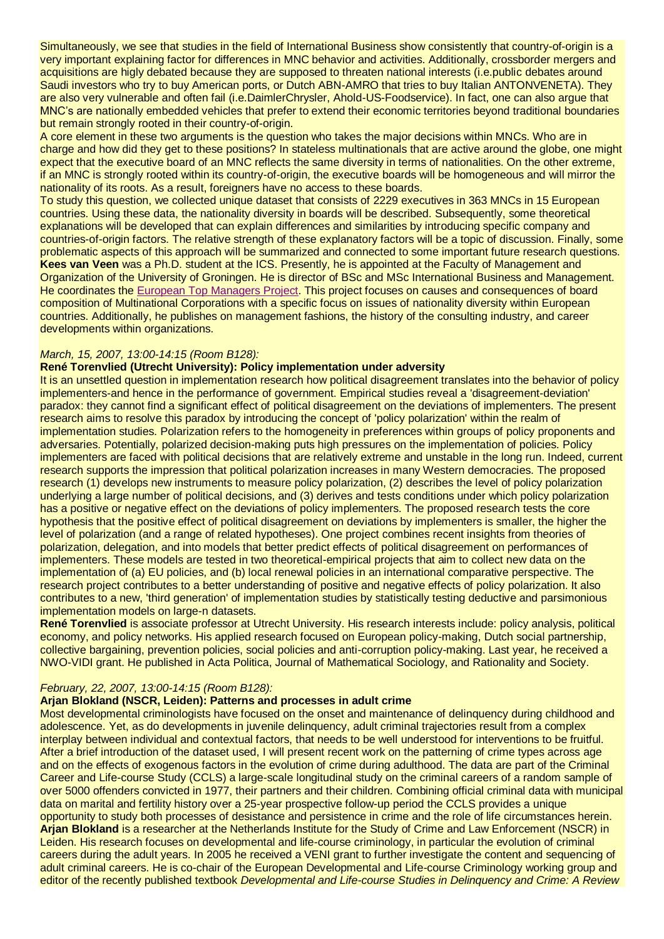Simultaneously, we see that studies in the field of International Business show consistently that country-of-origin is a very important explaining factor for differences in MNC behavior and activities. Additionally, crossborder mergers and acquisitions are higly debated because they are supposed to threaten national interests (i.e.public debates around Saudi investors who try to buy American ports, or Dutch ABN-AMRO that tries to buy Italian ANTONVENETA). They are also very vulnerable and often fail (i.e.DaimlerChrysler, Ahold-US-Foodservice). In fact, one can also argue that MNC's are nationally embedded vehicles that prefer to extend their economic territories beyond traditional boundaries but remain strongly rooted in their country-of-origin.

A core element in these two arguments is the question who takes the major decisions within MNCs. Who are in charge and how did they get to these positions? In stateless multinationals that are active around the globe, one might expect that the executive board of an MNC reflects the same diversity in terms of nationalities. On the other extreme, if an MNC is strongly rooted within its country-of-origin, the executive boards will be homogeneous and will mirror the nationality of its roots. As a result, foreigners have no access to these boards.

To study this question, we collected unique dataset that consists of 2229 executives in 363 MNCs in 15 European countries. Using these data, the nationality diversity in boards will be described. Subsequently, some theoretical explanations will be developed that can explain differences and similarities by introducing specific company and countries-of-origin factors. The relative strength of these explanatory factors will be a topic of discussion. Finally, some problematic aspects of this approach will be summarized and connected to some important future research questions. **Kees van Veen** was a Ph.D. student at the ICS. Presently, he is appointed at the Faculty of Management and Organization of the University of Groningen. He is director of BSc and MSc International Business and Management. He coordinates the [European Top Managers Project.](http://www.bdk.rug.nl/medewerkers/k.van.veen/Top%20man%20project.htm) This project focuses on causes and consequences of board composition of Multinational Corporations with a specific focus on issues of nationality diversity within European countries. Additionally, he publishes on management fashions, the history of the consulting industry, and career developments within organizations.

### *March, 15, 2007, 13:00-14:15 (Room B128):*

### **René Torenvlied (Utrecht University): Policy implementation under adversity**

It is an unsettled question in implementation research how political disagreement translates into the behavior of policy implementers-and hence in the performance of government. Empirical studies reveal a 'disagreement-deviation' paradox: they cannot find a significant effect of political disagreement on the deviations of implementers. The present research aims to resolve this paradox by introducing the concept of 'policy polarization' within the realm of implementation studies. Polarization refers to the homogeneity in preferences within groups of policy proponents and adversaries. Potentially, polarized decision-making puts high pressures on the implementation of policies. Policy implementers are faced with political decisions that are relatively extreme and unstable in the long run. Indeed, current research supports the impression that political polarization increases in many Western democracies. The proposed research (1) develops new instruments to measure policy polarization, (2) describes the level of policy polarization underlying a large number of political decisions, and (3) derives and tests conditions under which policy polarization has a positive or negative effect on the deviations of policy implementers. The proposed research tests the core hypothesis that the positive effect of political disagreement on deviations by implementers is smaller, the higher the level of polarization (and a range of related hypotheses). One project combines recent insights from theories of polarization, delegation, and into models that better predict effects of political disagreement on performances of implementers. These models are tested in two theoretical-empirical projects that aim to collect new data on the implementation of (a) EU policies, and (b) local renewal policies in an international comparative perspective. The research project contributes to a better understanding of positive and negative effects of policy polarization. It also contributes to a new, 'third generation' of implementation studies by statistically testing deductive and parsimonious implementation models on large-n datasets.

**René Torenvlied** is associate professor at Utrecht University. His research interests include: policy analysis, political economy, and policy networks. His applied research focused on European policy-making, Dutch social partnership, collective bargaining, prevention policies, social policies and anti-corruption policy-making. Last year, he received a NWO-VIDI grant. He published in Acta Politica, Journal of Mathematical Sociology, and Rationality and Society.

#### *February, 22, 2007, 13:00-14:15 (Room B128):*

# **Arjan Blokland (NSCR, Leiden): Patterns and processes in adult crime**

Most developmental criminologists have focused on the onset and maintenance of delinquency during childhood and adolescence. Yet, as do developments in juvenile delinquency, adult criminal trajectories result from a complex interplay between individual and contextual factors, that needs to be well understood for interventions to be fruitful. After a brief introduction of the dataset used, I will present recent work on the patterning of crime types across age and on the effects of exogenous factors in the evolution of crime during adulthood. The data are part of the Criminal Career and Life-course Study (CCLS) a large-scale longitudinal study on the criminal careers of a random sample of over 5000 offenders convicted in 1977, their partners and their children. Combining official criminal data with municipal data on marital and fertility history over a 25-year prospective follow-up period the CCLS provides a unique opportunity to study both processes of desistance and persistence in crime and the role of life circumstances herein. **Arjan Blokland** is a researcher at the Netherlands Institute for the Study of Crime and Law Enforcement (NSCR) in Leiden. His research focuses on developmental and life-course criminology, in particular the evolution of criminal careers during the adult years. In 2005 he received a VENI grant to further investigate the content and sequencing of adult criminal careers. He is co-chair of the European Developmental and Life-course Criminology working group and editor of the recently published textbook *Developmental and Life-course Studies in Delinquency and Crime: A Review*